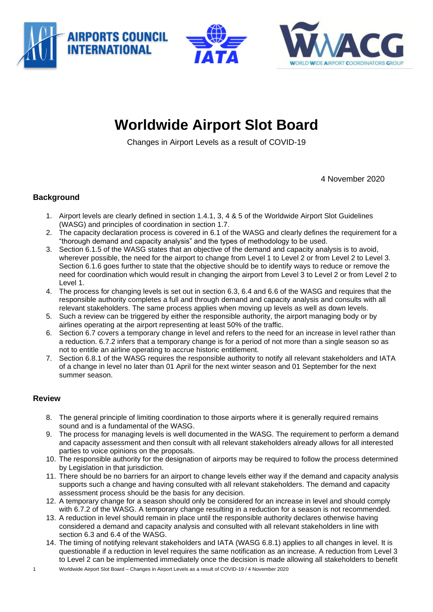





## **Worldwide Airport Slot Board**

Changes in Airport Levels as a result of COVID-19

4 November 2020

## **Background**

- 1. Airport levels are clearly defined in section 1.4.1, 3, 4 & 5 of the Worldwide Airport Slot Guidelines (WASG) and principles of coordination in section 1.7.
- 2. The capacity declaration process is covered in 6.1 of the WASG and clearly defines the requirement for a "thorough demand and capacity analysis" and the types of methodology to be used.
- 3. Section 6.1.5 of the WASG states that an objective of the demand and capacity analysis is to avoid, wherever possible, the need for the airport to change from Level 1 to Level 2 or from Level 2 to Level 3. Section 6.1.6 goes further to state that the objective should be to identify ways to reduce or remove the need for coordination which would result in changing the airport from Level 3 to Level 2 or from Level 2 to Level 1.
- 4. The process for changing levels is set out in section 6.3, 6.4 and 6.6 of the WASG and requires that the responsible authority completes a full and through demand and capacity analysis and consults with all relevant stakeholders. The same process applies when moving up levels as well as down levels.
- 5. Such a review can be triggered by either the responsible authority, the airport managing body or by airlines operating at the airport representing at least 50% of the traffic.
- 6. Section 6.7 covers a temporary change in level and refers to the need for an increase in level rather than a reduction. 6.7.2 infers that a temporary change is for a period of not more than a single season so as not to entitle an airline operating to accrue historic entitlement.
- 7. Section 6.8.1 of the WASG requires the responsible authority to notify all relevant stakeholders and IATA of a change in level no later than 01 April for the next winter season and 01 September for the next summer season.

## **Review**

- 8. The general principle of limiting coordination to those airports where it is generally required remains sound and is a fundamental of the WASG.
- 9. The process for managing levels is well documented in the WASG. The requirement to perform a demand and capacity assessment and then consult with all relevant stakeholders already allows for all interested parties to voice opinions on the proposals.
- 10. The responsible authority for the designation of airports may be required to follow the process determined by Legislation in that jurisdiction.
- 11. There should be no barriers for an airport to change levels either way if the demand and capacity analysis supports such a change and having consulted with all relevant stakeholders. The demand and capacity assessment process should be the basis for any decision.
- 12. A temporary change for a season should only be considered for an increase in level and should comply with 6.7.2 of the WASG. A temporary change resulting in a reduction for a season is not recommended.
- 13. A reduction in level should remain in place until the responsible authority declares otherwise having considered a demand and capacity analysis and consulted with all relevant stakeholders in line with section 6.3 and 6.4 of the WASG.
- 1 Worldwide Airport Slot Board Changes in Airport Levels as a result of COVID-19 / 4 November 2020 14. The timing of notifying relevant stakeholders and IATA (WASG 6.8.1) applies to all changes in level. It is questionable if a reduction in level requires the same notification as an increase. A reduction from Level 3 to Level 2 can be implemented immediately once the decision is made allowing all stakeholders to benefit